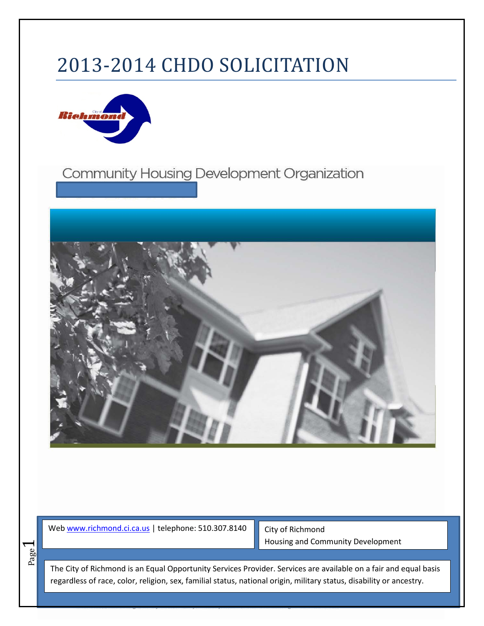# 2013-2014 CHDO SOLICITATION



# Community Housing Development Organization



We[b www.richmond.ci.ca.us](http://www.richmond.ci.ca.us/) | telephone: 510.307.8140

Page  $\overline{\phantom{0}}$ 

City of Richmond Housing and Community Development

The City of Richmond is an Equal Opportunity Services Provider. Services are available on a fair and equal basis regardless of race, color, religion, sex, familial status, national origin, military status, disability or ancestry.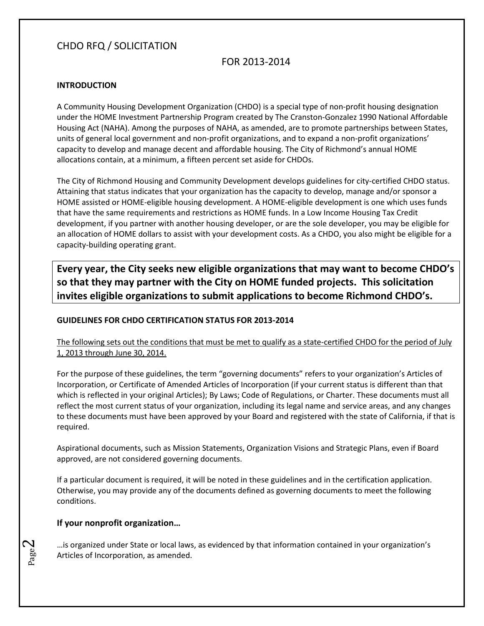# CHDO RFQ / SOLICITATION

### FOR 2013-2014

#### **INTRODUCTION**

A Community Housing Development Organization (CHDO) is a special type of non-profit housing designation under the HOME Investment Partnership Program created by The Cranston-Gonzalez 1990 National Affordable Housing Act (NAHA). Among the purposes of NAHA, as amended, are to promote partnerships between States, units of general local government and non-profit organizations, and to expand a non-profit organizations' capacity to develop and manage decent and affordable housing. The City of Richmond's annual HOME allocations contain, at a minimum, a fifteen percent set aside for CHDOs.

The City of Richmond Housing and Community Development develops guidelines for city-certified CHDO status. Attaining that status indicates that your organization has the capacity to develop, manage and/or sponsor a HOME assisted or HOME-eligible housing development. A HOME-eligible development is one which uses funds that have the same requirements and restrictions as HOME funds. In a Low Income Housing Tax Credit development, if you partner with another housing developer, or are the sole developer, you may be eligible for an allocation of HOME dollars to assist with your development costs. As a CHDO, you also might be eligible for a capacity-building operating grant.

**Every year, the City seeks new eligible organizations that may want to become CHDO's so that they may partner with the City on HOME funded projects. This solicitation invites eligible organizations to submit applications to become Richmond CHDO's.** 

#### **GUIDELINES FOR CHDO CERTIFICATION STATUS FOR 2013-2014**

The following sets out the conditions that must be met to qualify as a state-certified CHDO for the period of July 1, 2013 through June 30, 2014.

For the purpose of these guidelines, the term "governing documents" refers to your organization's Articles of Incorporation, or Certificate of Amended Articles of Incorporation (if your current status is different than that which is reflected in your original Articles); By Laws; Code of Regulations, or Charter. These documents must all reflect the most current status of your organization, including its legal name and service areas, and any changes to these documents must have been approved by your Board and registered with the state of California, if that is required.

Aspirational documents, such as Mission Statements, Organization Visions and Strategic Plans, even if Board approved, are not considered governing documents.

If a particular document is required, it will be noted in these guidelines and in the certification application. Otherwise, you may provide any of the documents defined as governing documents to meet the following conditions.

#### **If your nonprofit organization…**

Page  $\Delta$ 

…is organized under State or local laws, as evidenced by that information contained in your organization's Articles of Incorporation, as amended.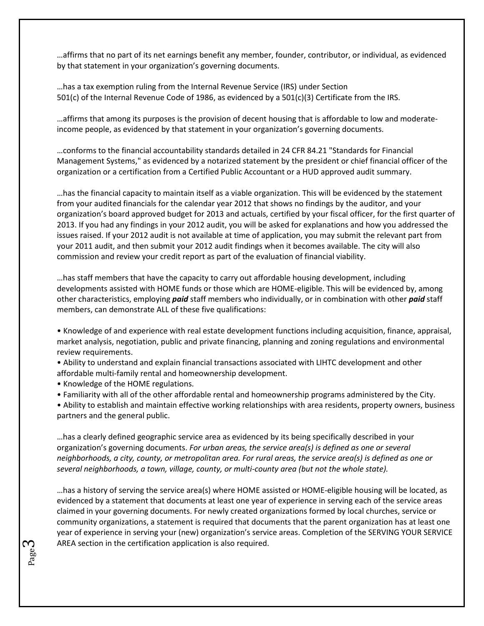…affirms that no part of its net earnings benefit any member, founder, contributor, or individual, as evidenced by that statement in your organization's governing documents.

…has a tax exemption ruling from the Internal Revenue Service (IRS) under Section 501(c) of the Internal Revenue Code of 1986, as evidenced by a 501(c)(3) Certificate from the IRS.

…affirms that among its purposes is the provision of decent housing that is affordable to low and moderateincome people, as evidenced by that statement in your organization's governing documents.

…conforms to the financial accountability standards detailed in 24 CFR 84.21 "Standards for Financial Management Systems," as evidenced by a notarized statement by the president or chief financial officer of the organization or a certification from a Certified Public Accountant or a HUD approved audit summary.

…has the financial capacity to maintain itself as a viable organization. This will be evidenced by the statement from your audited financials for the calendar year 2012 that shows no findings by the auditor, and your organization's board approved budget for 2013 and actuals, certified by your fiscal officer, for the first quarter of 2013. If you had any findings in your 2012 audit, you will be asked for explanations and how you addressed the issues raised. If your 2012 audit is not available at time of application, you may submit the relevant part from your 2011 audit, and then submit your 2012 audit findings when it becomes available. The city will also commission and review your credit report as part of the evaluation of financial viability.

…has staff members that have the capacity to carry out affordable housing development, including developments assisted with HOME funds or those which are HOME-eligible. This will be evidenced by, among other characteristics, employing *paid* staff members who individually, or in combination with other *paid* staff members, can demonstrate ALL of these five qualifications:

• Knowledge of and experience with real estate development functions including acquisition, finance, appraisal, market analysis, negotiation, public and private financing, planning and zoning regulations and environmental review requirements.

• Ability to understand and explain financial transactions associated with LIHTC development and other affordable multi-family rental and homeownership development.

• Knowledge of the HOME regulations.

Page ى

• Familiarity with all of the other affordable rental and homeownership programs administered by the City.

• Ability to establish and maintain effective working relationships with area residents, property owners, business partners and the general public.

…has a clearly defined geographic service area as evidenced by its being specifically described in your organization's governing documents. *For urban areas, the service area(s) is defined as one or several neighborhoods, a city, county, or metropolitan area. For rural areas, the service area(s) is defined as one or several neighborhoods, a town, village, county, or multi-county area (but not the whole state).* 

…has a history of serving the service area(s) where HOME assisted or HOME-eligible housing will be located, as evidenced by a statement that documents at least one year of experience in serving each of the service areas claimed in your governing documents. For newly created organizations formed by local churches, service or community organizations, a statement is required that documents that the parent organization has at least one year of experience in serving your (new) organization's service areas. Completion of the SERVING YOUR SERVICE AREA section in the certification application is also required.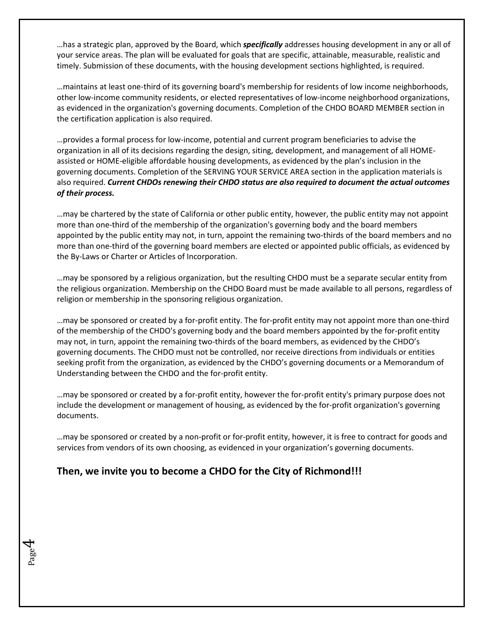…has a strategic plan, approved by the Board, which *specifically* addresses housing development in any or all of your service areas. The plan will be evaluated for goals that are specific, attainable, measurable, realistic and timely. Submission of these documents, with the housing development sections highlighted, is required.

…maintains at least one-third of its governing board's membership for residents of low income neighborhoods, other low-income community residents, or elected representatives of low-income neighborhood organizations, as evidenced in the organization's governing documents. Completion of the CHDO BOARD MEMBER section in the certification application is also required.

…provides a formal process for low-income, potential and current program beneficiaries to advise the organization in all of its decisions regarding the design, siting, development, and management of all HOMEassisted or HOME-eligible affordable housing developments, as evidenced by the plan's inclusion in the governing documents. Completion of the SERVING YOUR SERVICE AREA section in the application materials is also required. *Current CHDOs renewing their CHDO status are also required to document the actual outcomes of their process.* 

…may be chartered by the state of California or other public entity, however, the public entity may not appoint more than one-third of the membership of the organization's governing body and the board members appointed by the public entity may not, in turn, appoint the remaining two-thirds of the board members and no more than one-third of the governing board members are elected or appointed public officials, as evidenced by the By-Laws or Charter or Articles of Incorporation.

…may be sponsored by a religious organization, but the resulting CHDO must be a separate secular entity from the religious organization. Membership on the CHDO Board must be made available to all persons, regardless of religion or membership in the sponsoring religious organization.

…may be sponsored or created by a for-profit entity. The for-profit entity may not appoint more than one-third of the membership of the CHDO's governing body and the board members appointed by the for-profit entity may not, in turn, appoint the remaining two-thirds of the board members, as evidenced by the CHDO's governing documents. The CHDO must not be controlled, nor receive directions from individuals or entities seeking profit from the organization, as evidenced by the CHDO's governing documents or a Memorandum of Understanding between the CHDO and the for-profit entity.

…may be sponsored or created by a for-profit entity, however the for-profit entity's primary purpose does not include the development or management of housing, as evidenced by the for-profit organization's governing documents.

…may be sponsored or created by a non-profit or for-profit entity, however, it is free to contract for goods and services from vendors of its own choosing, as evidenced in your organization's governing documents.

# **Then, we invite you to become a CHDO for the City of Richmond!!!**

Page 4